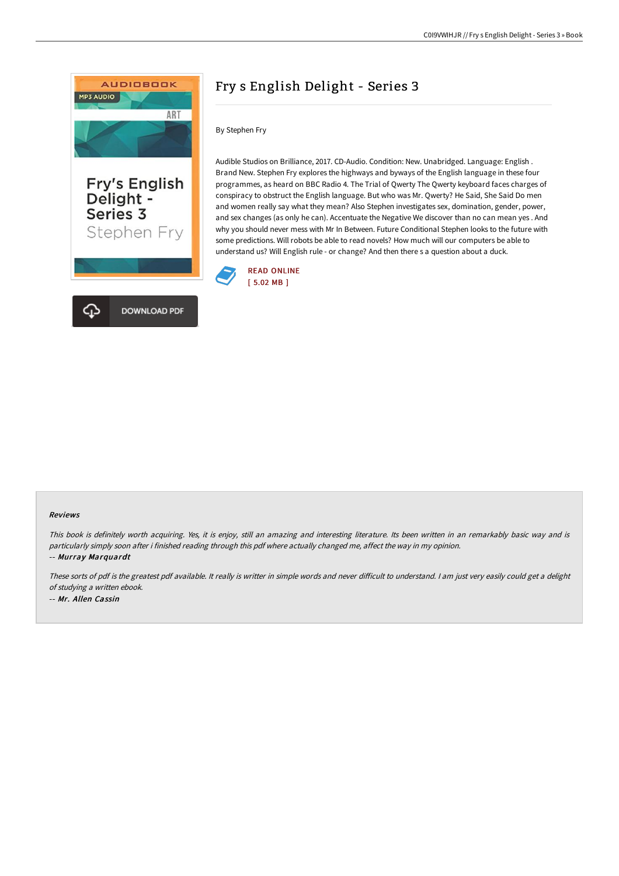

# Fry s English Delight - Series 3

By Stephen Fry

Audible Studios on Brilliance, 2017. CD-Audio. Condition: New. Unabridged. Language: English . Brand New. Stephen Fry explores the highways and byways of the English language in these four programmes, as heard on BBC Radio 4. The Trial of Qwerty The Qwerty keyboard faces charges of conspiracy to obstruct the English language. But who was Mr. Qwerty? He Said, She Said Do men and women really say what they mean? Also Stephen investigates sex, domination, gender, power, and sex changes (as only he can). Accentuate the Negative We discover than no can mean yes . And why you should never mess with Mr In Between. Future Conditional Stephen looks to the future with some predictions. Will robots be able to read novels? How much will our computers be able to understand us? Will English rule - or change? And then there s a question about a duck.



#### Reviews

This book is definitely worth acquiring. Yes, it is enjoy, still an amazing and interesting literature. Its been written in an remarkably basic way and is particularly simply soon after i finished reading through this pdf where actually changed me, affect the way in my opinion. -- Murray Marquardt

These sorts of pdf is the greatest pdf available. It really is writter in simple words and never difficult to understand. I am just very easily could get a delight of studying <sup>a</sup> written ebook. -- Mr. Allen Cassin